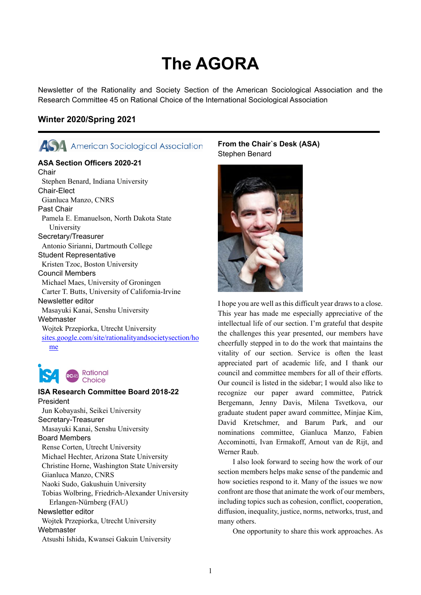# **The AGORA**

Newsletter of the Rationality and Society Section of the American Sociological Association and the Research Committee 45 on Rational Choice of the International Sociological Association

# **Winter 2020/Spring 2021**



# **ASA Section Officers 2020-21**

**Chair** Stephen Benard, Indiana University Chair-Elect Gianluca Manzo, CNRS Past Chair Pamela E. Emanuelson, North Dakota State University Secretary/Treasurer Antonio Sirianni, Dartmouth College Student Representative Kristen Tzoc, Boston University Council Members Michael Maes, University of Groningen Carter T. Butts, University of California-Irvine Newsletter editor Masayuki Kanai, Senshu University Webmaster Wojtek Przepiorka, Utrecht University [sites.google.com/site/rationalityandsocietysection/ho](https://sites.google.com/site/rationalityandsocietysection/) [me](https://sites.google.com/site/rationalityandsocietysection/)



Rational Choice

#### **ISA Research Committee Board 2018-22** President Jun Kobayashi, Seikei University

Secretary-Treasurer Masayuki Kanai, Senshu University Board Members Rense Corten, Utrecht University Michael Hechter, Arizona State University Christine Horne, Washington State University Gianluca Manzo, CNRS Naoki Sudo, Gakushuin University Tobias Wolbring, Friedrich-Alexander University Erlangen-Nürnberg (FAU) Newsletter editor Wojtek Przepiorka, Utrecht University **Webmaster** Atsushi Ishida, Kwansei Gakuin University

# **From the Chair`s Desk (ASA)** Stephen Benard



I hope you are well as this difficult year draws to a close. This year has made me especially appreciative of the intellectual life of our section. I'm grateful that despite the challenges this year presented, our members have cheerfully stepped in to do the work that maintains the vitality of our section. Service is often the least appreciated part of academic life, and I thank our council and committee members for all of their efforts. Our council is listed in the sidebar; I would also like to recognize our paper award committee, Patrick Bergemann, Jenny Davis, Milena Tsvetkova, our graduate student paper award committee, Minjae Kim, David Kretschmer, and Barum Park, and our nominations committee, Gianluca Manzo, Fabien Accominotti, Ivan Ermakoff, Arnout van de Rijt, and Werner Raub.

I also look forward to seeing how the work of our section members helps make sense of the pandemic and how societies respond to it. Many of the issues we now confront are those that animate the work of our members, including topics such as cohesion, conflict, cooperation, diffusion, inequality, justice, norms, networks, trust, and many others.

One opportunity to share this work approaches. As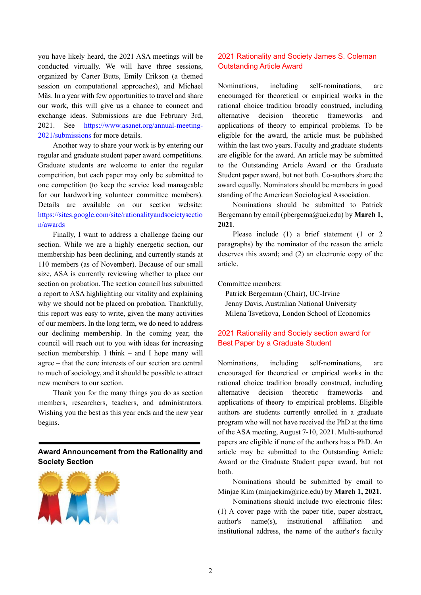you have likely heard, the 2021 ASA meetings will be conducted virtually. We will have three sessions, organized by Carter Butts, Emily Erikson (a themed session on computational approaches), and Michael Mäs. In a year with few opportunities to travel and share our work, this will give us a chance to connect and exchange ideas. Submissions are due February 3rd, 2021. See [https://www.asanet.org/annual-meeting-](https://www.asanet.org/annual-meeting-2021/submissions)[2021/submissions](https://www.asanet.org/annual-meeting-2021/submissions) for more details.

Another way to share your work is by entering our regular and graduate student paper award competitions. Graduate students are welcome to enter the regular competition, but each paper may only be submitted to one competition (to keep the service load manageable for our hardworking volunteer committee members). Details are available on our section website: [https://sites.google.com/site/rationalityandsocietysectio](https://sites.google.com/site/rationalityandsocietysection/awards) [n/awards](https://sites.google.com/site/rationalityandsocietysection/awards)

Finally, I want to address a challenge facing our section. While we are a highly energetic section, our membership has been declining, and currently stands at 110 members (as of November). Because of our small size, ASA is currently reviewing whether to place our section on probation. The section council has submitted a report to ASA highlighting our vitality and explaining why we should not be placed on probation. Thankfully, this report was easy to write, given the many activities of our members. In the long term, we do need to address our declining membership. In the coming year, the council will reach out to you with ideas for increasing section membership. I think – and I hope many will agree – that the core interests of our section are central to much of sociology, and it should be possible to attract new members to our section.

Thank you for the many things you do as section members, researchers, teachers, and administrators. Wishing you the best as this year ends and the new year begins.

# **Award Announcement from the Rationality and Society Section**



# 2021 Rationality and Society James S. Coleman Outstanding Article Award

Nominations, including self-nominations, are encouraged for theoretical or empirical works in the rational choice tradition broadly construed, including alternative decision theoretic frameworks and applications of theory to empirical problems. To be eligible for the award, the article must be published within the last two years. Faculty and graduate students are eligible for the award. An article may be submitted to the Outstanding Article Award or the Graduate Student paper award, but not both. Co-authors share the award equally. Nominators should be members in good standing of the American Sociological Association.

Nominations should be submitted to Patrick Bergemann by email (pbergema@uci.edu) by **March 1, 2021**.

Please include (1) a brief statement (1 or 2 paragraphs) by the nominator of the reason the article deserves this award; and (2) an electronic copy of the article.

Committee members:

Patrick Bergemann (Chair), UC-Irvine Jenny Davis, Australian National University Milena Tsvetkova, London School of Economics

# 2021 Rationality and Society section award for Best Paper by a Graduate Student

Nominations, including self-nominations, are encouraged for theoretical or empirical works in the rational choice tradition broadly construed, including alternative decision theoretic frameworks and applications of theory to empirical problems. Eligible authors are students currently enrolled in a graduate program who will not have received the PhD at the time of the ASA meeting, August 7-10, 2021. Multi-authored papers are eligible if none of the authors has a PhD. An article may be submitted to the Outstanding Article Award or the Graduate Student paper award, but not both.

Nominations should be submitted by email to Minjae Kim (minjaekim@rice.edu) by **March 1, 2021**.

Nominations should include two electronic files: (1) A cover page with the paper title, paper abstract, author's name(s), institutional affiliation and institutional address, the name of the author's faculty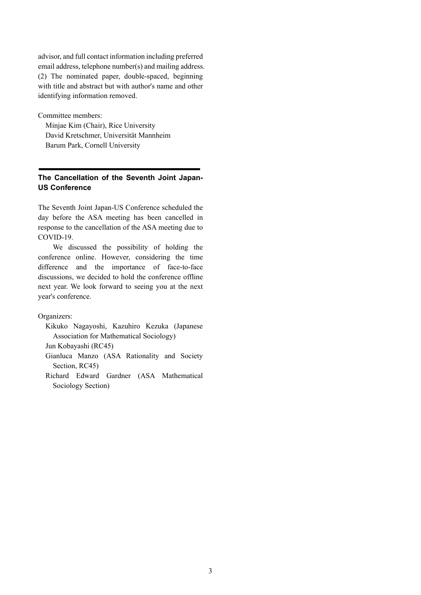advisor, and full contact information including preferred email address, telephone number(s) and mailing address. (2) The nominated paper, double-spaced, beginning with title and abstract but with author's name and other identifying information removed.

Committee members:

Minjae Kim (Chair), Rice University David Kretschmer, Universität Mannheim Barum Park, Cornell University

# **The Cancellation of the Seventh Joint Japan-US Conference**

The Seventh Joint Japan-US Conference scheduled the day before the ASA meeting has been cancelled in response to the cancellation of the ASA meeting due to COVID-19.

We discussed the possibility of holding the conference online. However, considering the time difference and the importance of face-to-face discussions, we decided to hold the conference offline next year. We look forward to seeing you at the next year's conference.

Organizers:

Kikuko Nagayoshi, Kazuhiro Kezuka (Japanese Association for Mathematical Sociology)

Jun Kobayashi (RC45)

- Gianluca Manzo (ASA Rationality and Society Section, RC45)
- Richard Edward Gardner (ASA Mathematical Sociology Section)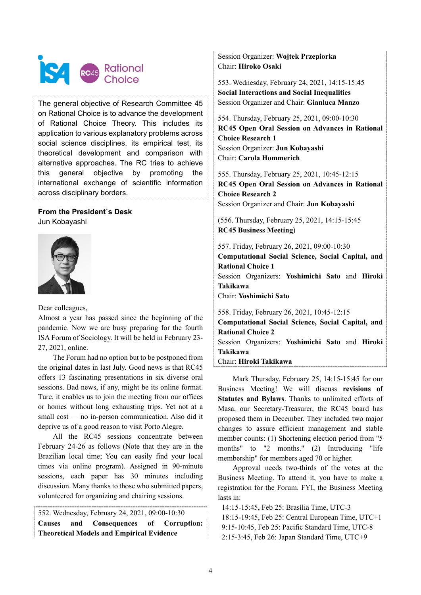

The general objective of Research Committee 45 on Rational Choice is to advance the development of Rational Choice Theory. This includes its application to various explanatory problems across social science disciplines, its empirical test, its theoretical development and comparison with alternative approaches. The RC tries to achieve this general objective by promoting the international exchange of scientific information across disciplinary borders.

#### **From the President`s Desk** Jun Kobayashi



Dear colleagues,

Almost a year has passed since the beginning of the pandemic. Now we are busy preparing for the fourth ISA Forum of Sociology. It will be held in February 23- 27, 2021, online.

The Forum had no option but to be postponed from the original dates in last July. Good news is that RC45 offers 13 fascinating presentations in six diverse oral sessions. Bad news, if any, might be its online format. Ture, it enables us to join the meeting from our offices or homes without long exhausting trips. Yet not at a small cost — no in-person communication. Also did it deprive us of a good reason to visit Porto Alegre.

All the RC45 sessions concentrate between February 24-26 as follows (Note that they are in the Brazilian local time; You can easily find your local times via online program). Assigned in 90-minute sessions, each paper has 30 minutes including discussion. Many thanks to those who submitted papers, volunteered for organizing and chairing sessions.

552. Wednesday, February 24, 2021, 09:00-10:30 **Causes and Consequences of Corruption: Theoretical Models and Empirical Evidence**

Session Organizer: **Wojtek Przepiorka** Chair: **Hiroko Osaki**

553. Wednesday, February 24, 2021, 14:15-15:45 **Social Interactions and Social Inequalities** Session Organizer and Chair: **Gianluca Manzo**

554. Thursday, February 25, 2021, 09:00-10:30 **RC45 Open Oral Session on Advances in Rational Choice Research 1** Session Organizer: **Jun Kobayashi** Chair: **Carola Hommerich**

555. Thursday, February 25, 2021, 10:45-12:15 **RC45 Open Oral Session on Advances in Rational Choice Research 2** Session Organizer and Chair: **Jun Kobayashi**

(556. Thursday, February 25, 2021, 14:15-15:45 **RC45 Business Meeting**)

557. Friday, February 26, 2021, 09:00-10:30 **Computational Social Science, Social Capital, and Rational Choice 1** Session Organizers: **Yoshimichi Sato** and **Hiroki Takikawa** Chair: **Yoshimichi Sato** 558. Friday, February 26, 2021, 10:45-12:15

**Computational Social Science, Social Capital, and Rational Choice 2** Session Organizers: **Yoshimichi Sato** and **Hiroki Takikawa**

Chair: **Hiroki Takikawa**

Mark Thursday, February 25, 14:15-15:45 for our Business Meeting! We will discuss **revisions of Statutes and Bylaws**. Thanks to unlimited efforts of Masa, our Secretary-Treasurer, the RC45 board has proposed them in December. They included two major changes to assure efficient management and stable member counts: (1) Shortening election period from "5 months" to "2 months." (2) Introducing "life membership" for members aged 70 or higher.

Approval needs two-thirds of the votes at the Business Meeting. To attend it, you have to make a registration for the Forum. FYI, the Business Meeting lasts in:

14:15-15:45, Feb 25: Brasília Time, UTC-3

18:15-19:45, Feb 25: Central European Time, UTC+1 9:15-10:45, Feb 25: Pacific Standard Time, UTC-8

2:15-3:45, Feb 26: Japan Standard Time, UTC+9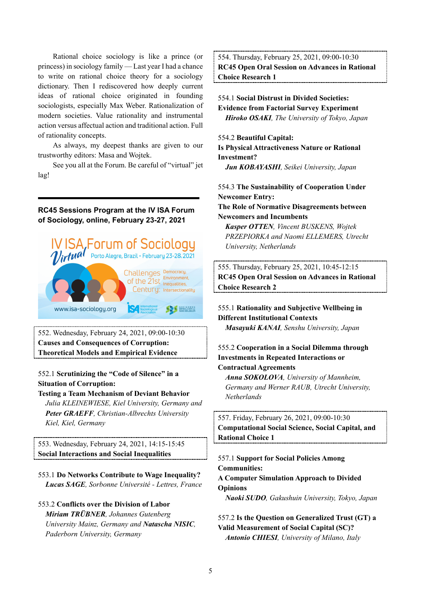Rational choice sociology is like a prince (or princess) in sociology family — Last year I had a chance to write on rational choice theory for a sociology dictionary. Then I rediscovered how deeply current ideas of rational choice originated in founding sociologists, especially Max Weber. Rationalization of modern societies. Value rationality and instrumental action versus affectual action and traditional action. Full of rationality concepts.

As always, my deepest thanks are given to our trustworthy editors: Masa and Wojtek.

See you all at the Forum. Be careful of "virtual" jet lag!

**RC45 Sessions Program at the IV ISA Forum of Sociology, online, February 23-27, 2021**



552. Wednesday, February 24, 2021, 09:00-10:30 **Causes and Consequences of Corruption: Theoretical Models and Empirical Evidence**

552.1 **Scrutinizing the "Code of Silence" in a Situation of Corruption:**

**Testing a Team Mechanism of Deviant Behavior** *Julia KLEINEWIESE, Kiel University, Germany and Peter GRAEFF, Christian-Albrechts University Kiel, Kiel, Germany*

553. Wednesday, February 24, 2021, 14:15-15:45 **Social Interactions and Social Inequalities**

- 553.1 **Do Networks Contribute to Wage Inequality?** *Lucas SAGE, Sorbonne Université - Lettres, France*
- 553.2 **Conflicts over the Division of Labor** *Miriam TRÜBNER, Johannes Gutenberg University Mainz, Germany and Natascha NISIC, Paderborn University, Germany*

554. Thursday, February 25, 2021, 09:00-10:30 **RC45 Open Oral Session on Advances in Rational Choice Research 1**

# 554.1 **Social Distrust in Divided Societies: Evidence from Factorial Survey Experiment** *Hiroko OSAKI, The University of Tokyo, Japan*

#### 554.2 **Beautiful Capital:**

**Is Physical Attractiveness Nature or Rational Investment?**

*Jun KOBAYASHI, Seikei University, Japan*

554.3 **The Sustainability of Cooperation Under Newcomer Entry:**

**The Role of Normative Disagreements between Newcomers and Incumbents**

*Kasper OTTEN, Vincent BUSKENS, Wojtek PRZEPIORKA and Naomi ELLEMERS, Utrecht University, Netherlands*

555. Thursday, February 25, 2021, 10:45-12:15 **RC45 Open Oral Session on Advances in Rational Choice Research 2**

555.1 **Rationality and Subjective Wellbeing in Different Institutional Contexts** *Masayuki KANAI, Senshu University, Japan*

#### 555.2 **Cooperation in a Social Dilemma through Investments in Repeated Interactions or Contractual Agreements**

*Anna SOKOLOVA, University of Mannheim, Germany and Werner RAUB, Utrecht University, Netherlands*

557. Friday, February 26, 2021, 09:00-10:30 **Computational Social Science, Social Capital, and Rational Choice 1**

557.1 **Support for Social Policies Among Communities: A Computer Simulation Approach to Divided Opinions** *Naoki SUDO, Gakushuin University, Tokyo, Japan*

557.2 **Is the Question on Generalized Trust (GT) a Valid Measurement of Social Capital (SC)?** *Antonio CHIESI, University of Milano, Italy*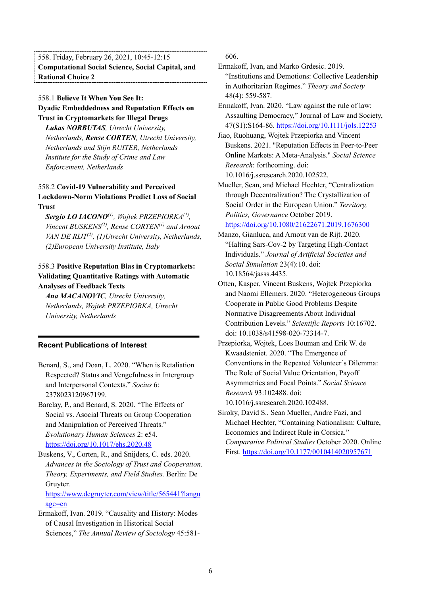558. Friday, February 26, 2021, 10:45-12:15 **Computational Social Science, Social Capital, and Rational Choice 2**

# 558.1 **Believe It When You See It: Dyadic Embeddedness and Reputation Effects on Trust in Cryptomarkets for Illegal Drugs**

*Lukas NORBUTAS, Utrecht University, Netherlands, Rense CORTEN, Utrecht University, Netherlands and Stijn RUITER, Netherlands Institute for the Study of Crime and Law Enforcement, Netherlands*

# 558.2 **Covid-19 Vulnerability and Perceived Lockdown-Norm Violations Predict Loss of Social Trust**

*Sergio LO IACONO(1), Wojtek PRZEPIORKA(1), Vincent BUSKENS(1), Rense CORTEN(1) and Arnout VAN DE RIJT(2) , (1)Utrecht University, Netherlands, (2)European University Institute, Italy*

# 558.3 **Positive Reputation Bias in Cryptomarkets: Validating Quantitative Ratings with Automatic Analyses of Feedback Texts**

*Ana MACANOVIC, Utrecht University, Netherlands, Wojtek PRZEPIORKA, Utrecht University, Netherlands*

# **Recent Publications of Interest**

Benard, S., and Doan, L. 2020. "When is Retaliation Respected? Status and Vengefulness in Intergroup and Interpersonal Contexts." *Socius* 6: 2378023120967199.

Barclay, P., and Benard, S. 2020. "The Effects of Social vs. Asocial Threats on Group Cooperation and Manipulation of Perceived Threats." *Evolutionary Human Sciences* 2: e54. <https://doi.org/10.1017/ehs.2020.48>

Buskens, V., Corten, R., and Snijders, C. eds. 2020. *Advances in the Sociology of Trust and Cooperation. Theory, Experiments, and Field Studies.* Berlin: De Gruyter.

[https://www.degruyter.com/view/title/565441?langu](https://www.degruyter.com/view/title/565441?language=en) [age=en](https://www.degruyter.com/view/title/565441?language=en)

Ermakoff, Ivan. 2019. "Causality and History: Modes of Causal Investigation in Historical Social Sciences," *The Annual Review of Sociology* 45:581606.

- Ermakoff, Ivan, and Marko Grdesic. 2019. "Institutions and Demotions: Collective Leadership in Authoritarian Regimes." *Theory and Society* 48(4): 559-587.
- Ermakoff, Ivan. 2020. "Law against the rule of law: Assaulting Democracy," Journal of Law and Society, 47(S1):S164-86. <https://doi.org/10.1111/jols.12253>

Jiao, Ruohuang, Wojtek Przepiorka and Vincent Buskens. 2021. "Reputation Effects in Peer-to-Peer Online Markets: A Meta-Analysis." *Social Science Research*: forthcoming. doi: 10.1016/j.ssresearch.2020.102522.

Mueller, Sean, and Michael Hechter, "Centralization through Decentralization? The Crystallization of Social Order in the European Union." *Territory, Politics, Governance* October 2019.

# <https://doi.org/10.1080/21622671.2019.1676300>

- Manzo, Gianluca, and Arnout van de Rijt. 2020. "Halting Sars-Cov-2 by Targeting High-Contact Individuals." *Journal of Artificial Societies and Social Simulation* 23(4):10. doi: 10.18564/jasss.4435.
- Otten, Kasper, Vincent Buskens, Wojtek Przepiorka and Naomi Ellemers. 2020. "Heterogeneous Groups Cooperate in Public Good Problems Despite Normative Disagreements About Individual Contribution Levels." *Scientific Reports* 10:16702. doi: 10.1038/s41598-020-73314-7.
- Przepiorka, Wojtek, Loes Bouman and Erik W. de Kwaadsteniet. 2020. "The Emergence of Conventions in the Repeated Volunteer's Dilemma: The Role of Social Value Orientation, Payoff Asymmetries and Focal Points." *Social Science Research* 93:102488. doi:

10.1016/j.ssresearch.2020.102488.

Siroky, David S., Sean Mueller, Andre Fazi, and Michael Hechter, "Containing Nationalism: Culture, Economics and Indirect Rule in Corsica." *Comparative Political Studies* October 2020. Online First. <https://doi.org/10.1177/0010414020957671>